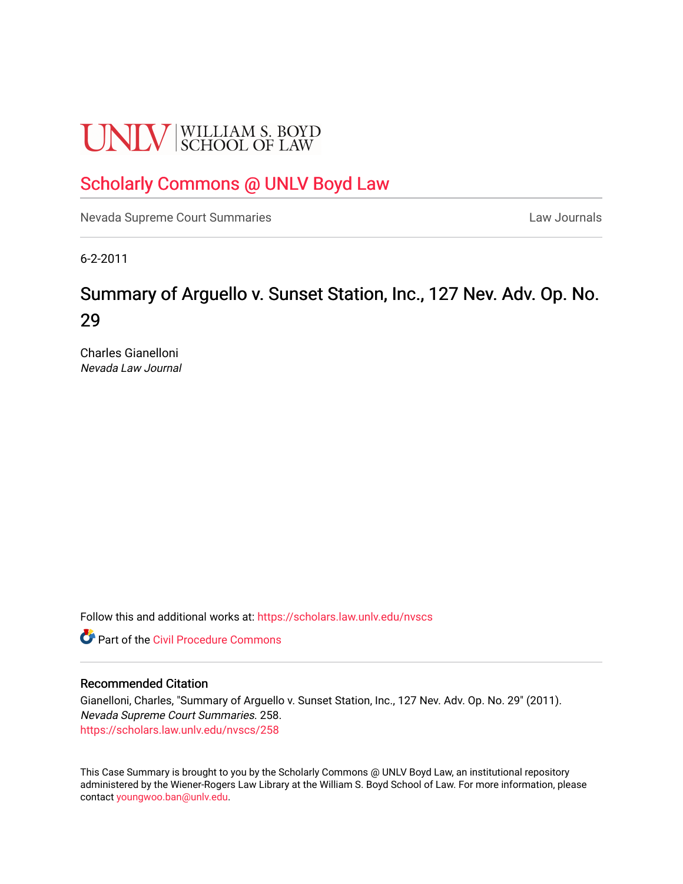# **UNLV** SCHOOL OF LAW

### [Scholarly Commons @ UNLV Boyd Law](https://scholars.law.unlv.edu/)

[Nevada Supreme Court Summaries](https://scholars.law.unlv.edu/nvscs) **Law Journals** Law Journals

6-2-2011

## Summary of Arguello v. Sunset Station, Inc., 127 Nev. Adv. Op. No. 29

Charles Gianelloni Nevada Law Journal

Follow this and additional works at: [https://scholars.law.unlv.edu/nvscs](https://scholars.law.unlv.edu/nvscs?utm_source=scholars.law.unlv.edu%2Fnvscs%2F258&utm_medium=PDF&utm_campaign=PDFCoverPages)

**C** Part of the Civil Procedure Commons

#### Recommended Citation

Gianelloni, Charles, "Summary of Arguello v. Sunset Station, Inc., 127 Nev. Adv. Op. No. 29" (2011). Nevada Supreme Court Summaries. 258. [https://scholars.law.unlv.edu/nvscs/258](https://scholars.law.unlv.edu/nvscs/258?utm_source=scholars.law.unlv.edu%2Fnvscs%2F258&utm_medium=PDF&utm_campaign=PDFCoverPages)

This Case Summary is brought to you by the Scholarly Commons @ UNLV Boyd Law, an institutional repository administered by the Wiener-Rogers Law Library at the William S. Boyd School of Law. For more information, please contact [youngwoo.ban@unlv.edu](mailto:youngwoo.ban@unlv.edu).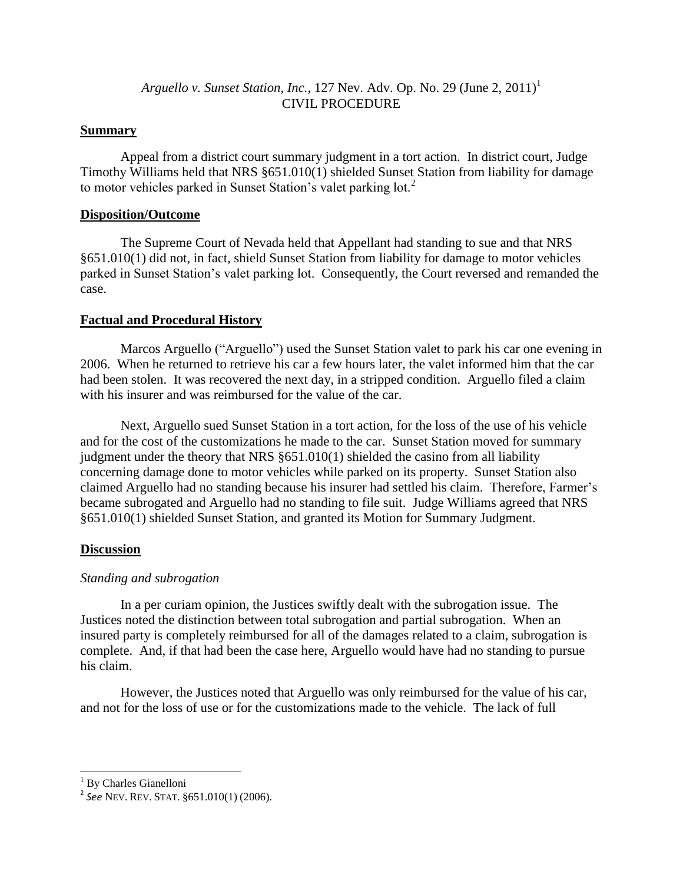#### *Arguello v. Sunset Station, Inc., 127 Nev. Adv. Op. No. 29 (June 2, 2011)*<sup>1</sup> CIVIL PROCEDURE

#### **Summary**

Appeal from a district court summary judgment in a tort action. In district court, Judge Timothy Williams held that NRS §651.010(1) shielded Sunset Station from liability for damage to motor vehicles parked in Sunset Station's valet parking lot.<sup>2</sup>

#### **Disposition/Outcome**

The Supreme Court of Nevada held that Appellant had standing to sue and that NRS §651.010(1) did not, in fact, shield Sunset Station from liability for damage to motor vehicles parked in Sunset Station's valet parking lot. Consequently, the Court reversed and remanded the case.

#### **Factual and Procedural History**

Marcos Arguello ("Arguello") used the Sunset Station valet to park his car one evening in 2006. When he returned to retrieve his car a few hours later, the valet informed him that the car had been stolen. It was recovered the next day, in a stripped condition. Arguello filed a claim with his insurer and was reimbursed for the value of the car.

Next, Arguello sued Sunset Station in a tort action, for the loss of the use of his vehicle and for the cost of the customizations he made to the car. Sunset Station moved for summary judgment under the theory that NRS §651.010(1) shielded the casino from all liability concerning damage done to motor vehicles while parked on its property. Sunset Station also claimed Arguello had no standing because his insurer had settled his claim. Therefore, Farmer's became subrogated and Arguello had no standing to file suit. Judge Williams agreed that NRS §651.010(1) shielded Sunset Station, and granted its Motion for Summary Judgment.

#### **Discussion**

#### *Standing and subrogation*

In a per curiam opinion, the Justices swiftly dealt with the subrogation issue. The Justices noted the distinction between total subrogation and partial subrogation. When an insured party is completely reimbursed for all of the damages related to a claim, subrogation is complete. And, if that had been the case here, Arguello would have had no standing to pursue his claim.

However, the Justices noted that Arguello was only reimbursed for the value of his car, and not for the loss of use or for the customizations made to the vehicle. The lack of full

l <sup>1</sup> By Charles Gianelloni

<sup>2</sup> *See* NEV. REV. STAT. §651.010(1) (2006).